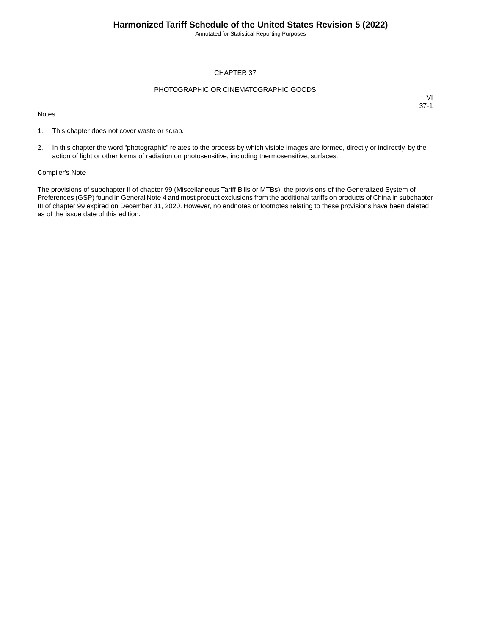Annotated for Statistical Reporting Purposes

### CHAPTER 37

### PHOTOGRAPHIC OR CINEMATOGRAPHIC GOODS

#### **Notes**

VI 37-1

- 1. This chapter does not cover waste or scrap.
- 2. In this chapter the word "photographic" relates to the process by which visible images are formed, directly or indirectly, by the action of light or other forms of radiation on photosensitive, including thermosensitive, surfaces.

### Compiler's Note

The provisions of subchapter II of chapter 99 (Miscellaneous Tariff Bills or MTBs), the provisions of the Generalized System of Preferences (GSP) found in General Note 4 and most product exclusions from the additional tariffs on products of China in subchapter III of chapter 99 expired on December 31, 2020. However, no endnotes or footnotes relating to these provisions have been deleted as of the issue date of this edition.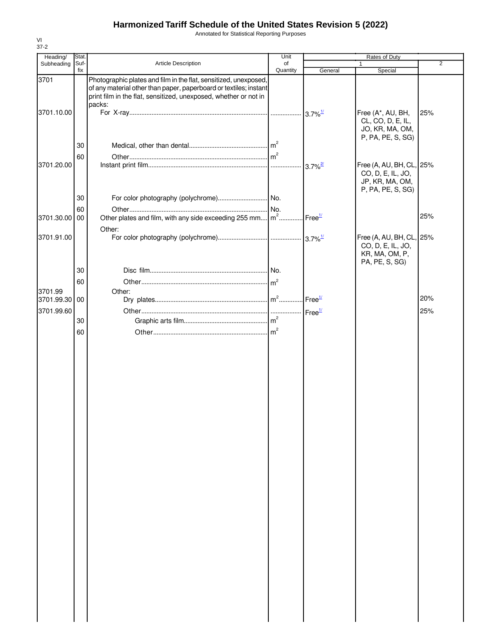Annotated for Statistical Reporting Purposes

| Stat.                  |                                                                                                                                      | Unit           |                                                                                                                                                         | Rates of Duty                                             |                                                                                      |
|------------------------|--------------------------------------------------------------------------------------------------------------------------------------|----------------|---------------------------------------------------------------------------------------------------------------------------------------------------------|-----------------------------------------------------------|--------------------------------------------------------------------------------------|
| Suf-                   | Article Description                                                                                                                  | of             |                                                                                                                                                         |                                                           | 2                                                                                    |
|                        | Photographic plates and film in the flat, sensitized, unexposed,<br>print film in the flat, sensitized, unexposed, whether or not in |                |                                                                                                                                                         |                                                           |                                                                                      |
|                        |                                                                                                                                      |                |                                                                                                                                                         | Free (A*, AU, BH,<br>CL, CO, D, E, IL,<br>JO, KR, MA, OM, | 25%                                                                                  |
| 30<br>60               |                                                                                                                                      |                |                                                                                                                                                         |                                                           |                                                                                      |
|                        |                                                                                                                                      |                | $3.7\%$ <sup>2/</sup>                                                                                                                                   | CO, D, E, IL, JO,<br>JP, KR, MA, OM,<br>P, PA, PE, S, SG) |                                                                                      |
| 60<br>3701.30.00<br>00 |                                                                                                                                      | No.            | Free <sup>1/</sup>                                                                                                                                      |                                                           | 25%                                                                                  |
|                        | Other:                                                                                                                               |                |                                                                                                                                                         |                                                           |                                                                                      |
|                        |                                                                                                                                      |                |                                                                                                                                                         | CO, D, E, IL, JO,<br>KR, MA, OM, P,<br>PA, PE, S, SG)     |                                                                                      |
| 30                     |                                                                                                                                      |                |                                                                                                                                                         |                                                           |                                                                                      |
| 60                     |                                                                                                                                      | m <sup>2</sup> |                                                                                                                                                         |                                                           |                                                                                      |
|                        | Other:                                                                                                                               |                |                                                                                                                                                         |                                                           |                                                                                      |
|                        |                                                                                                                                      |                |                                                                                                                                                         |                                                           | 20%                                                                                  |
|                        |                                                                                                                                      |                |                                                                                                                                                         |                                                           | 25%                                                                                  |
|                        |                                                                                                                                      |                |                                                                                                                                                         |                                                           |                                                                                      |
|                        |                                                                                                                                      |                |                                                                                                                                                         |                                                           |                                                                                      |
|                        | fix<br>30<br>3701.99.30 00<br>30<br>60                                                                                               | packs:         | Quantity<br>of any material other than paper, paperboard or textiles; instant<br>Other plates and film, with any side exceeding 255 mm   m <sup>2</sup> | General<br>Free <sup>1/</sup>                             | Special<br>P, PA, PE, S, SG)<br>Free (A, AU, BH, CL, 25%<br>Free (A, AU, BH, CL, 25% |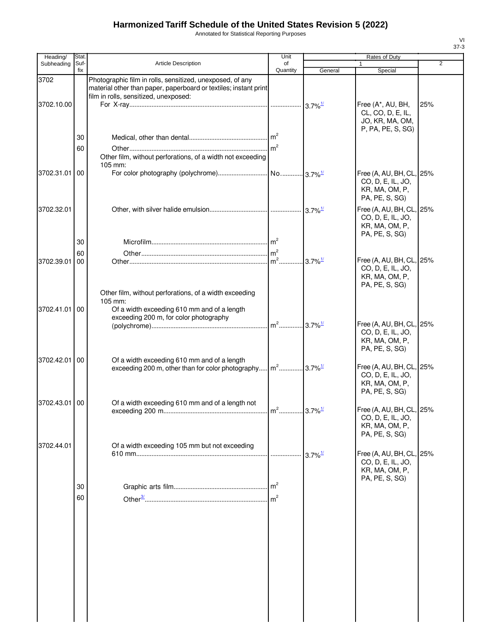Annotated for Statistical Reporting Purposes

| Heading/      | Stat.       |                                                                                                                                                                        | Unit           |         | Rates of Duty                                                                     |                |
|---------------|-------------|------------------------------------------------------------------------------------------------------------------------------------------------------------------------|----------------|---------|-----------------------------------------------------------------------------------|----------------|
| Subheading    | Suf-<br>fix | <b>Article Description</b>                                                                                                                                             | of<br>Quantity | General | Special                                                                           | $\overline{2}$ |
| 3702          |             | Photographic film in rolls, sensitized, unexposed, of any<br>material other than paper, paperboard or textiles; instant print<br>film in rolls, sensitized, unexposed: |                |         |                                                                                   |                |
| 3702.10.00    |             |                                                                                                                                                                        |                |         | Free (A*, AU, BH,<br>CL, CO, D, E, IL,<br>JO, KR, MA, OM,<br>P, PA, PE, S, SG)    | 25%            |
|               | 30          |                                                                                                                                                                        |                |         |                                                                                   |                |
|               | 60          | Other film, without perforations, of a width not exceeding<br>105 mm:                                                                                                  |                |         |                                                                                   |                |
| 3702.31.01    | 00          |                                                                                                                                                                        |                |         | Free (A, AU, BH, CL,<br>CO, D, E, IL, JO,<br>KR, MA, OM, P,<br>PA, PE, S, SG)     | 25%            |
| 3702.32.01    |             |                                                                                                                                                                        |                |         | Free (A, AU, BH, CL,<br>CO, D, E, IL, JO,<br>KR, MA, OM, P,<br>PA, PE, S, SG)     | 25%            |
|               | 30          |                                                                                                                                                                        |                |         |                                                                                   |                |
|               | 60          |                                                                                                                                                                        |                |         | Free (A, AU, BH, CL, 25%                                                          |                |
| 3702.39.01    | 00          |                                                                                                                                                                        |                |         | CO, D, E, IL, JO,<br>KR, MA, OM, P,<br>PA, PE, S, SG)                             |                |
| 3702.41.01 00 |             | Other film, without perforations, of a width exceeding<br>105 mm:<br>Of a width exceeding 610 mm and of a length<br>exceeding 200 m, for color photography             |                |         | Free (A, AU, BH, CL, 25%                                                          |                |
|               |             |                                                                                                                                                                        |                |         | CO, D, E, IL, JO,<br>KR, MA, OM, P,<br>PA, PE, S, SG)                             |                |
| 3702.42.01    | 00          | Of a width exceeding 610 mm and of a length                                                                                                                            |                |         | Free (A, AU, BH, CL, 25%<br>CO, D, E, IL, JO,<br>KR, MA, OM, P,<br>PA, PE, S, SG) |                |
| 3702.43.01 00 |             | Of a width exceeding 610 mm and of a length not                                                                                                                        |                |         | Free (A, AU, BH, CL, 25%<br>CO, D, E, IL, JO,<br>KR, MA, OM, P,<br>PA, PE, S, SG) |                |
| 3702.44.01    |             | Of a width exceeding 105 mm but not exceeding                                                                                                                          |                |         | Free (A, AU, BH, CL, 25%<br>CO, D, E, IL, JO,                                     |                |
|               |             |                                                                                                                                                                        |                |         | KR, MA, OM, P,                                                                    |                |
|               | 30          |                                                                                                                                                                        |                |         | PA, PE, S, SG)                                                                    |                |
|               | 60          |                                                                                                                                                                        |                |         |                                                                                   |                |
|               |             |                                                                                                                                                                        |                |         |                                                                                   |                |
|               |             |                                                                                                                                                                        |                |         |                                                                                   |                |
|               |             |                                                                                                                                                                        |                |         |                                                                                   |                |
|               |             |                                                                                                                                                                        |                |         |                                                                                   |                |
|               |             |                                                                                                                                                                        |                |         |                                                                                   |                |
|               |             |                                                                                                                                                                        |                |         |                                                                                   |                |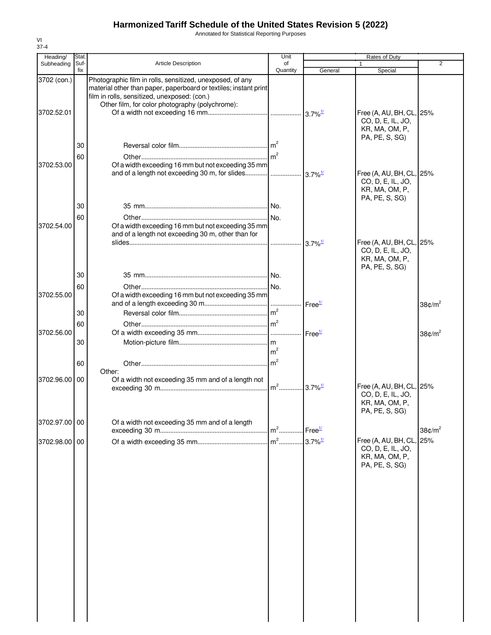Annotated for Statistical Reporting Purposes

| Heading/                  | Stat.          |                                                                                                                                                                                                                                  | Unit           |                       | Rates of Duty                                                                     |                        |
|---------------------------|----------------|----------------------------------------------------------------------------------------------------------------------------------------------------------------------------------------------------------------------------------|----------------|-----------------------|-----------------------------------------------------------------------------------|------------------------|
| Subheading                | Suf-<br>fix    | Article Description                                                                                                                                                                                                              | of<br>Quantity | General               | 1<br>Special                                                                      | $\overline{2}$         |
| 3702 (con.)<br>3702.52.01 |                | Photographic film in rolls, sensitized, unexposed, of any<br>material other than paper, paperboard or textiles; instant print<br>film in rolls, sensitized, unexposed: (con.)<br>Other film, for color photography (polychrome): |                |                       | Free (A, AU, BH, CL, 25%<br>CO, D, E, IL, JO,<br>KR, MA, OM, P,                   |                        |
| 3702.53.00                | 30<br>60       | Of a width exceeding 16 mm but not exceeding 35 mm<br>and of a length not exceeding 30 m, for slides $\frac{1}{3.7\%^{1/2}}$                                                                                                     |                |                       | PA, PE, S, SG)<br>Free (A, AU, BH, CL, 25%<br>CO, D, E, IL, JO,<br>KR, MA, OM, P, |                        |
| 3702.54.00                | 30<br>60       | Of a width exceeding 16 mm but not exceeding 35 mm<br>and of a length not exceeding 30 m, other than for                                                                                                                         |                | $3.7\%$ <sup>1/</sup> | PA, PE, S, SG)<br>Free (A, AU, BH, CL, 25%<br>CO, D, E, IL, JO,<br>KR, MA, OM, P, |                        |
| 3702.55.00                | 30<br>60<br>30 | Of a width exceeding 16 mm but not exceeding 35 mm                                                                                                                                                                               | m <sup>2</sup> | Free <sup>1/</sup>    | PA, PE, S, SG)                                                                    | 38 $\text{C/m}^2$      |
| 3702.56.00                | 60<br>30       |                                                                                                                                                                                                                                  | m <sup>2</sup> |                       |                                                                                   | 38 $\text{C/m}^2$      |
| 3702.96.00                | 60<br>00       | Other:<br>Of a width not exceeding 35 mm and of a length not                                                                                                                                                                     |                |                       | Free (A, AU, BH, CL, 25%<br>CO, D, E, IL, JO,<br>KR, MA, OM, P,<br>PA, PE, S, SG) |                        |
| 3702.97.00 00             |                | Of a width not exceeding 35 mm and of a length                                                                                                                                                                                   | $m2$           | Free <sup>1/</sup>    |                                                                                   | 38 $¢$ /m <sup>2</sup> |
| 3702.98.00 00             |                |                                                                                                                                                                                                                                  | $m2$           | $3.7\%$ <sup>1/</sup> | Free (A, AU, BH, CL, 25%<br>CO, D, E, IL, JO,<br>KR, MA, OM, P,<br>PA, PE, S, SG) |                        |
|                           |                |                                                                                                                                                                                                                                  |                |                       |                                                                                   |                        |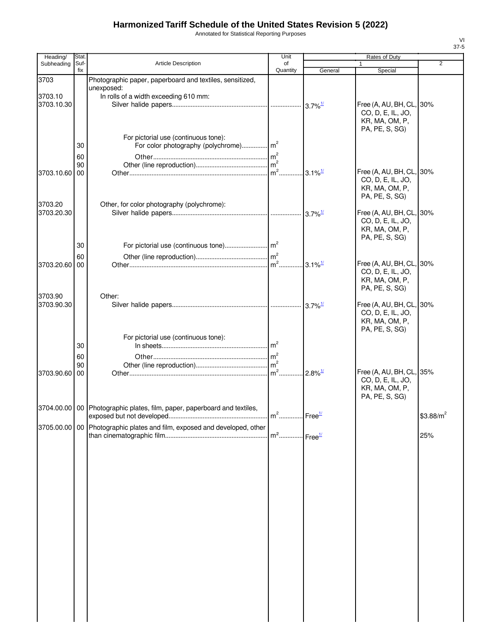Annotated for Statistical Reporting Purposes

| Heading/      | Stat.       |                                                                              | Unit                              |                        | Rates of Duty                                 |             |
|---------------|-------------|------------------------------------------------------------------------------|-----------------------------------|------------------------|-----------------------------------------------|-------------|
| Subheading    | Suf-<br>fix | <b>Article Description</b>                                                   | of<br>Quantity                    | General                | $\mathbf{1}$<br>Special                       | 2           |
| 3703          |             | Photographic paper, paperboard and textiles, sensitized,                     |                                   |                        |                                               |             |
|               |             | unexposed:                                                                   |                                   |                        |                                               |             |
| 3703.10       |             | In rolls of a width exceeding 610 mm:                                        |                                   |                        |                                               |             |
| 3703.10.30    |             |                                                                              |                                   |                        | Free (A, AU, BH, CL, 30%<br>CO, D, E, IL, JO, |             |
|               |             |                                                                              |                                   |                        | KR, MA, OM, P,                                |             |
|               |             |                                                                              |                                   |                        | PA, PE, S, SG)                                |             |
|               |             | For pictorial use (continuous tone):                                         |                                   |                        |                                               |             |
|               | 30          |                                                                              |                                   |                        |                                               |             |
|               | 60<br>90    |                                                                              |                                   |                        |                                               |             |
| 3703.10.60 00 |             |                                                                              |                                   |                        | Free (A, AU, BH, CL, 30%                      |             |
|               |             |                                                                              |                                   |                        | CO, D, E, IL, JO,                             |             |
|               |             |                                                                              |                                   |                        | KR, MA, OM, P,<br>PA, PE, S, SG)              |             |
| 3703.20       |             | Other, for color photography (polychrome):                                   |                                   |                        |                                               |             |
| 3703.20.30    |             |                                                                              |                                   |                        | Free (A, AU, BH, CL, 30%                      |             |
|               |             |                                                                              |                                   |                        | CO, D, E, IL, JO,                             |             |
|               |             |                                                                              |                                   |                        | KR, MA, OM, P,<br>PA, PE, S, SG)              |             |
|               | 30          |                                                                              |                                   |                        |                                               |             |
|               | 60          |                                                                              |                                   |                        |                                               |             |
| 3703.20.60 00 |             |                                                                              |                                   | $.3.1\%$ <sup>1/</sup> | Free (A, AU, BH, CL, 30%                      |             |
|               |             |                                                                              |                                   |                        | CO, D, E, IL, JO,<br>KR, MA, OM, P,           |             |
|               |             |                                                                              |                                   |                        | PA, PE, S, SG)                                |             |
| 3703.90       |             | Other:                                                                       |                                   |                        |                                               |             |
| 3703.90.30    |             |                                                                              |                                   |                        | Free (A, AU, BH, CL, 30%                      |             |
|               |             |                                                                              |                                   |                        | CO, D, E, IL, JO,<br>KR, MA, OM, P,           |             |
|               |             |                                                                              |                                   |                        | PA, PE, S, SG)                                |             |
|               |             | For pictorial use (continuous tone):                                         |                                   |                        |                                               |             |
|               | 30          |                                                                              |                                   |                        |                                               |             |
|               | 60          |                                                                              |                                   |                        |                                               |             |
| 3703.90.60 00 | 90          |                                                                              | $m2$ .                            | $2.8\%$ <sup>1/</sup>  | Free (A, AU, BH, CL, 35%                      |             |
|               |             |                                                                              |                                   |                        | CO, D, E, IL, JO,                             |             |
|               |             |                                                                              |                                   |                        | KR, MA, OM, P,                                |             |
|               |             |                                                                              |                                   |                        | PA, PE, S, SG)                                |             |
|               |             | 3704.00.00   00   Photographic plates, film, paper, paperboard and textiles, |                                   |                        |                                               | $$3.88/m^2$ |
|               |             |                                                                              |                                   |                        |                                               |             |
|               |             | 3705.00.00   00 Photographic plates and film, exposed and developed, other   | m <sup>2</sup> Free <sup>1/</sup> |                        |                                               | 25%         |
|               |             |                                                                              |                                   |                        |                                               |             |
|               |             |                                                                              |                                   |                        |                                               |             |
|               |             |                                                                              |                                   |                        |                                               |             |
|               |             |                                                                              |                                   |                        |                                               |             |
|               |             |                                                                              |                                   |                        |                                               |             |
|               |             |                                                                              |                                   |                        |                                               |             |
|               |             |                                                                              |                                   |                        |                                               |             |
|               |             |                                                                              |                                   |                        |                                               |             |
|               |             |                                                                              |                                   |                        |                                               |             |
|               |             |                                                                              |                                   |                        |                                               |             |
|               |             |                                                                              |                                   |                        |                                               |             |
|               |             |                                                                              |                                   |                        |                                               |             |
|               |             |                                                                              |                                   |                        |                                               |             |
|               |             |                                                                              |                                   |                        |                                               |             |
|               |             |                                                                              |                                   |                        |                                               |             |
|               |             |                                                                              |                                   |                        |                                               |             |
|               |             |                                                                              |                                   |                        |                                               |             |
|               |             |                                                                              |                                   |                        |                                               |             |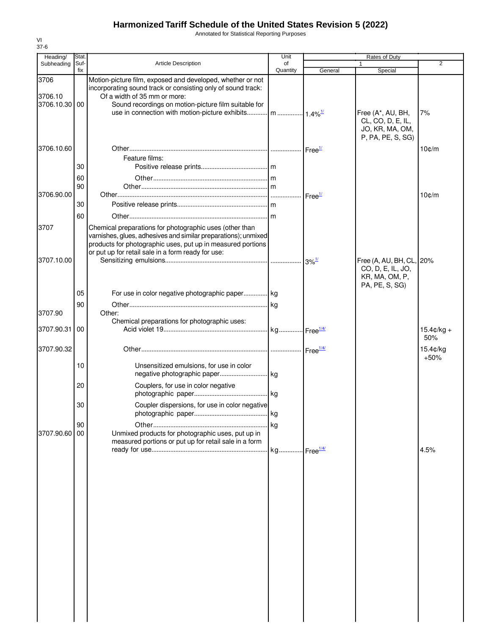Annotated for Statistical Reporting Purposes

| Heading/                         | Stat.          |                                                                                                                                                                                                                    | Unit           |         | Rates of Duty                                                                     |                   |
|----------------------------------|----------------|--------------------------------------------------------------------------------------------------------------------------------------------------------------------------------------------------------------------|----------------|---------|-----------------------------------------------------------------------------------|-------------------|
| Subheading                       | Suf-<br>fix    | <b>Article Description</b>                                                                                                                                                                                         | of<br>Quantity | General | 1<br>Special                                                                      | 2                 |
| 3706<br>3706.10<br>3706.10.30 00 |                | Motion-picture film, exposed and developed, whether or not<br>incorporating sound track or consisting only of sound track:<br>Of a width of 35 mm or more:<br>Sound recordings on motion-picture film suitable for |                |         | Free (A*, AU, BH,<br>CL, CO, D, E, IL,<br>JO, KR, MA, OM,                         | 7%                |
| 3706.10.60                       | 30             | Feature films:                                                                                                                                                                                                     |                |         | P, PA, PE, S, SG)                                                                 | $10$ $\text{C/m}$ |
| 3706.90.00                       | 60<br>90<br>30 |                                                                                                                                                                                                                    |                |         |                                                                                   | $10$ ¢/m          |
| 3707                             | 60             | Chemical preparations for photographic uses (other than<br>varnishes, glues, adhesives and similar preparations); unmixed<br>products for photographic uses, put up in measured portions                           |                |         |                                                                                   |                   |
| 3707.10.00                       |                | or put up for retail sale in a form ready for use:                                                                                                                                                                 |                |         | Free (A, AU, BH, CL, 20%<br>CO, D, E, IL, JO,<br>KR, MA, OM, P,<br>PA, PE, S, SG) |                   |
| 3707.90                          | 05<br>90       | For use in color negative photographic paper kg<br>Other:                                                                                                                                                          |                |         |                                                                                   |                   |
| 3707.90.31                       | 00             | Chemical preparations for photographic uses:                                                                                                                                                                       |                |         |                                                                                   | $15.4¢/kg +$      |
| 3707.90.32                       |                |                                                                                                                                                                                                                    |                |         |                                                                                   | 50%<br>15.4¢/kg   |
|                                  | 10<br>20<br>30 | Unsensitized emulsions, for use in color<br>Couplers, for use in color negative<br>Coupler dispersions, for use in color negative                                                                                  |                |         |                                                                                   | $+50%$            |
| 3707.90.60                       | 90<br>00       | Unmixed products for photographic uses, put up in<br>measured portions or put up for retail sale in a form                                                                                                         |                |         |                                                                                   | 4.5%              |
|                                  |                |                                                                                                                                                                                                                    |                |         |                                                                                   |                   |